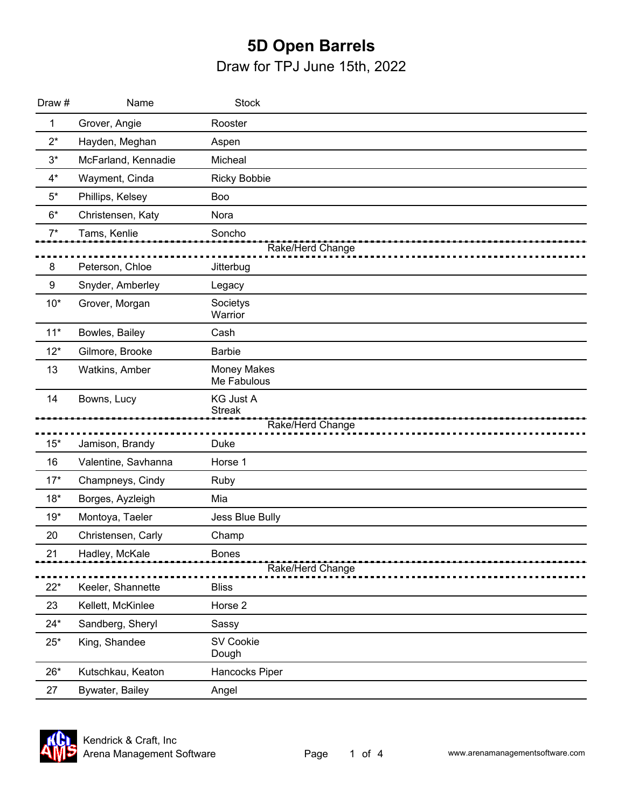## **5D Open Barrels** Draw for TPJ June 15th, 2022

| Draw #           | Name                | <b>Stock</b>                      |
|------------------|---------------------|-----------------------------------|
| 1                | Grover, Angie       | Rooster                           |
| $2^*$            | Hayden, Meghan      | Aspen                             |
| $3^*$            | McFarland, Kennadie | Micheal                           |
| $4^*$            | Wayment, Cinda      | <b>Ricky Bobbie</b>               |
| $5^*$            | Phillips, Kelsey    | Boo                               |
| $6*$             | Christensen, Katy   | Nora                              |
| $7^*$            | Tams, Kenlie        | Soncho                            |
|                  |                     | Rake/Herd Change                  |
| 8                | Peterson, Chloe     | Jitterbug                         |
| $\boldsymbol{9}$ | Snyder, Amberley    | Legacy                            |
| $10*$            | Grover, Morgan      | Societys<br>Warrior               |
| $11*$            | Bowles, Bailey      | Cash                              |
| $12*$            | Gilmore, Brooke     | <b>Barbie</b>                     |
| 13               | Watkins, Amber      | <b>Money Makes</b><br>Me Fabulous |
| 14               | Bowns, Lucy         | <b>KG Just A</b><br><b>Streak</b> |
|                  |                     | Rake/Herd Change                  |
| $15*$            | Jamison, Brandy     | Duke                              |
| 16               | Valentine, Savhanna | Horse 1                           |
| $17*$            | Champneys, Cindy    | Ruby                              |
| $18*$            | Borges, Ayzleigh    | Mia                               |
| $19*$            | Montoya, Taeler     | Jess Blue Bully                   |
| 20               | Christensen, Carly  | Champ                             |
| 21               | Hadley, McKale      | <b>Bones</b><br>Rake/Herd Change  |
| $22*$            | Keeler, Shannette   | <b>Bliss</b>                      |
| 23               | Kellett, McKinlee   | Horse 2                           |
| $24*$            | Sandberg, Sheryl    | Sassy                             |
| $25*$            | King, Shandee       | <b>SV Cookie</b><br>Dough         |
| $26*$            | Kutschkau, Keaton   | Hancocks Piper                    |
| 27               | Bywater, Bailey     | Angel                             |

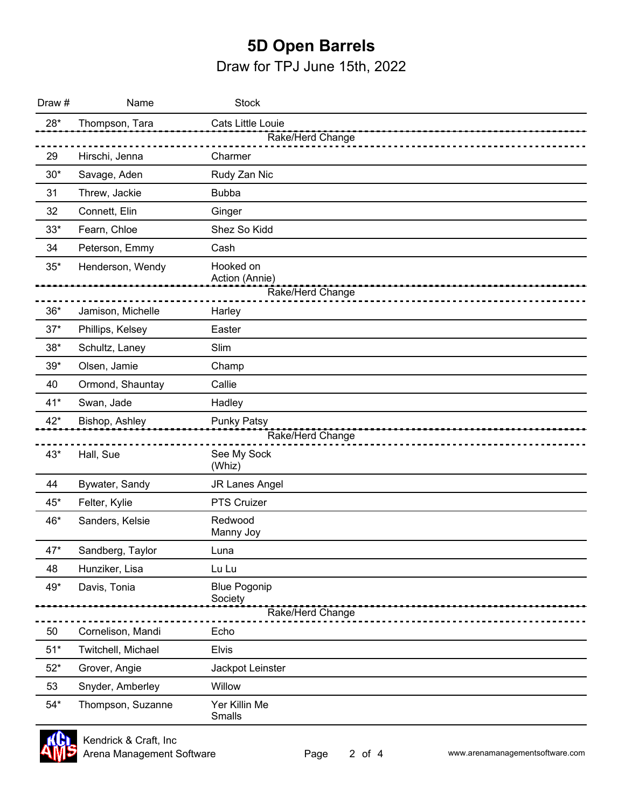## **5D Open Barrels**

Draw for TPJ June 15th, 2022

| Draw # | Name               | <b>Stock</b>                   |
|--------|--------------------|--------------------------------|
| $28*$  | Thompson, Tara     | Cats Little Louie              |
|        |                    | Rake/Herd Change               |
| 29     | Hirschi, Jenna     | Charmer                        |
| $30*$  | Savage, Aden       | Rudy Zan Nic                   |
| 31     | Threw, Jackie      | <b>Bubba</b>                   |
| 32     | Connett, Elin      | Ginger                         |
| $33*$  | Fearn, Chloe       | Shez So Kidd                   |
| 34     | Peterson, Emmy     | Cash                           |
| $35*$  | Henderson, Wendy   | Hooked on<br>Action (Annie)    |
|        |                    | Rake/Herd Change               |
| $36*$  | Jamison, Michelle  | Harley                         |
| $37*$  | Phillips, Kelsey   | Easter                         |
| $38*$  | Schultz, Laney     | Slim                           |
| $39*$  | Olsen, Jamie       | Champ                          |
| 40     | Ormond, Shauntay   | Callie                         |
| $41*$  | Swan, Jade         | Hadley                         |
| $42*$  | Bishop, Ashley     | <b>Punky Patsy</b>             |
|        |                    | Rake/Herd Change               |
| $43*$  | Hall, Sue          | See My Sock<br>(Whiz)          |
| 44     | Bywater, Sandy     | <b>JR Lanes Angel</b>          |
| 45*    | Felter, Kylie      | PTS Cruizer                    |
| 46*    | Sanders, Kelsie    | Redwood<br>Manny Joy           |
| 47*    | Sandberg, Taylor   | Luna                           |
| 48     | Hunziker, Lisa     | Lu Lu                          |
| 49*    | Davis, Tonia       | <b>Blue Pogonip</b><br>Society |
|        |                    | Rake/Herd Change               |
| 50     | Cornelison, Mandi  | Echo                           |
| $51*$  | Twitchell, Michael | <b>Elvis</b>                   |
| $52*$  | Grover, Angie      | Jackpot Leinster               |
| 53     | Snyder, Amberley   | Willow                         |
| $54*$  | Thompson, Suzanne  | Yer Killin Me<br>Smalls        |

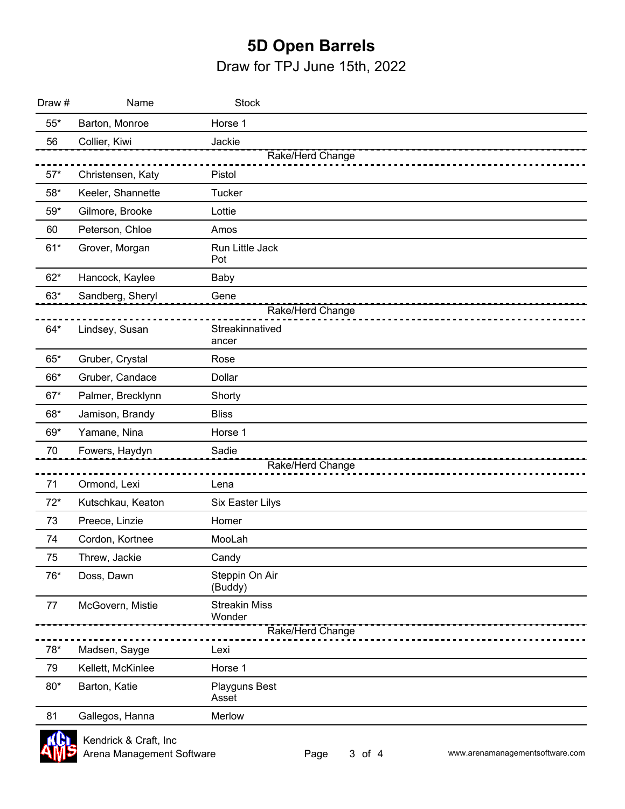## **5D Open Barrels**

Draw for TPJ June 15th, 2022

| Draw #      | Name              | <b>Stock</b>                                       |  |
|-------------|-------------------|----------------------------------------------------|--|
| $55^{\ast}$ | Barton, Monroe    | Horse 1                                            |  |
| 56          | Collier, Kiwi     | Jackie                                             |  |
|             |                   | Rake/Herd Change                                   |  |
| $57*$       | Christensen, Katy | Pistol                                             |  |
| $58*$       | Keeler, Shannette | <b>Tucker</b>                                      |  |
| $59*$       | Gilmore, Brooke   | Lottie                                             |  |
| 60          | Peterson, Chloe   | Amos                                               |  |
| $61*$       | Grover, Morgan    | Run Little Jack<br>Pot                             |  |
| $62*$       | Hancock, Kaylee   | Baby                                               |  |
| $63*$       | Sandberg, Sheryl  | Gene                                               |  |
|             |                   | Rake/Herd Change                                   |  |
| $64*$       | Lindsey, Susan    | Streakinnatived<br>ancer                           |  |
| $65*$       | Gruber, Crystal   | Rose                                               |  |
| 66*         | Gruber, Candace   | Dollar                                             |  |
| $67*$       | Palmer, Brecklynn | Shorty                                             |  |
| 68*         | Jamison, Brandy   | <b>Bliss</b>                                       |  |
| 69*         | Yamane, Nina      | Horse 1                                            |  |
| 70          | Fowers, Haydyn    | Sadie                                              |  |
|             |                   | Rake/Herd Change                                   |  |
| 71          | Ormond, Lexi      | Lena                                               |  |
| $72*$       | Kutschkau, Keaton | Six Easter Lilys                                   |  |
| 73          | Preece, Linzie    | Homer                                              |  |
| 74          | Cordon, Kortnee   | MooLah                                             |  |
| 75          | Threw, Jackie     | Candy                                              |  |
| 76*         | Doss, Dawn        | Steppin On Air<br>(Buddy)                          |  |
| 77          | McGovern, Mistie  | <b>Streakin Miss</b><br>Wonder<br>Rake/Herd Change |  |
| $78*$       | Madsen, Sayge     | Lexi                                               |  |
| 79          | Kellett, McKinlee | Horse 1                                            |  |
| $80*$       | Barton, Katie     | Playguns Best<br>Asset                             |  |
| 81          | Gallegos, Hanna   | Merlow                                             |  |
|             |                   |                                                    |  |